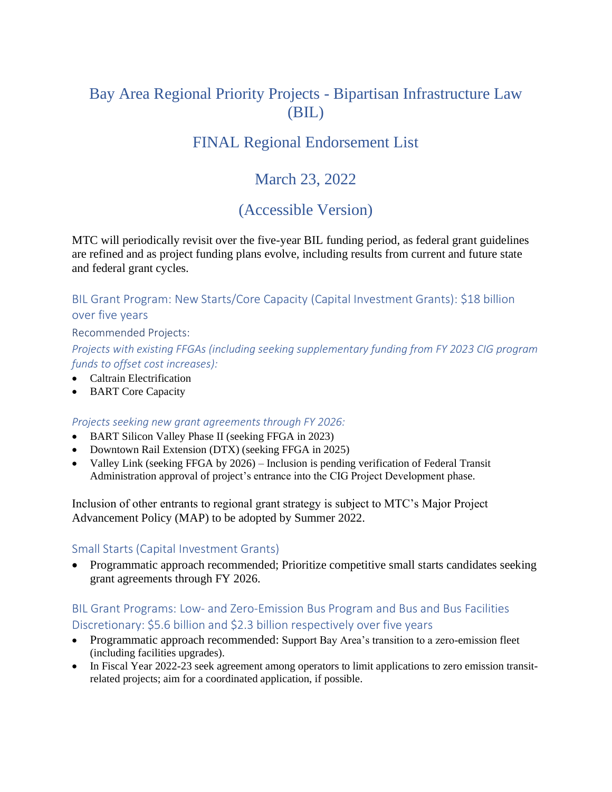## Bay Area Regional Priority Projects - Bipartisan Infrastructure Law (BIL)

## FINAL Regional Endorsement List

## March 23, 2022

## (Accessible Version)

MTC will periodically revisit over the five-year BIL funding period, as federal grant guidelines are refined and as project funding plans evolve, including results from current and future state and federal grant cycles.

BIL Grant Program: New Starts/Core Capacity (Capital Investment Grants): \$18 billion over five years

Recommended Projects:

*Projects with existing FFGAs (including seeking supplementary funding from FY 2023 CIG program funds to offset cost increases):* 

- Caltrain Electrification
- BART Core Capacity

#### *Projects seeking new grant agreements through FY 2026:*

- BART Silicon Valley Phase II (seeking FFGA in 2023)
- Downtown Rail Extension (DTX) (seeking FFGA in 2025)
- Valley Link (seeking FFGA by 2026) Inclusion is pending verification of Federal Transit Administration approval of project's entrance into the CIG Project Development phase.

Inclusion of other entrants to regional grant strategy is subject to MTC's Major Project Advancement Policy (MAP) to be adopted by Summer 2022.

#### Small Starts (Capital Investment Grants)

• Programmatic approach recommended; Prioritize competitive small starts candidates seeking grant agreements through FY 2026.

#### BIL Grant Programs: Low- [and Zero-Emission Bus Program](https://www.transit.dot.gov/lowno) and Bus and Bus Facilities Discretionary: \$5.6 billion and \$2.3 billion respectively over five years

- Programmatic approach recommended: Support Bay Area's transition to a zero-emission fleet (including facilities upgrades).
- In Fiscal Year 2022-23 seek agreement among operators to limit applications to zero emission transitrelated projects; aim for a coordinated application, if possible.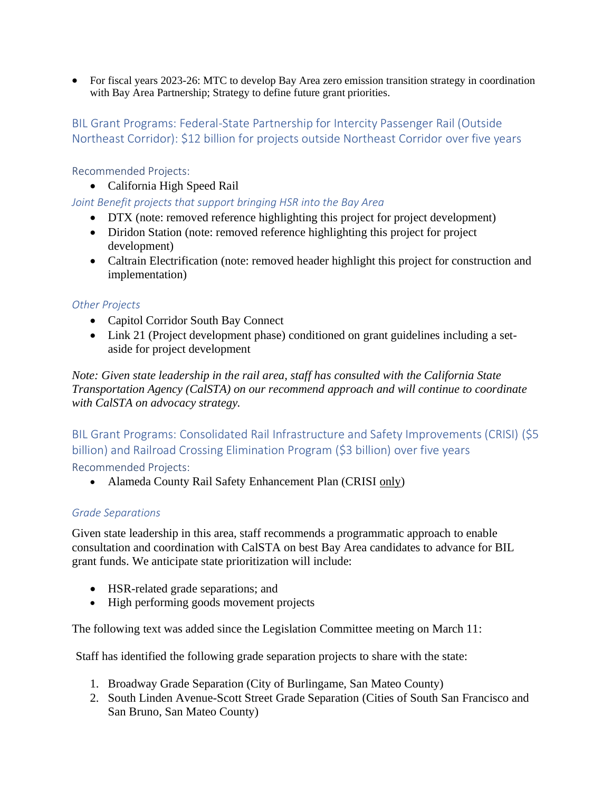• For fiscal years 2023-26: MTC to develop Bay Area zero emission transition strategy in coordination with Bay Area Partnership; Strategy to define future grant priorities.

### BIL Grant Programs: Federal-State Partnership for Intercity Passenger Rail (Outside Northeast Corridor): \$12 billion for projects outside Northeast Corridor over five years

Recommended Projects:

• California High Speed Rail

#### *Joint Benefit projects that support bringing HSR into the Bay Area*

- DTX (note: removed reference highlighting this project for project development)
- Diridon Station (note: removed reference highlighting this project for project development)
- Caltrain Electrification (note: removed header highlight this project for construction and implementation)

#### *Other Projects*

- Capitol Corridor South Bay Connect
- Link 21 (Project development phase) conditioned on grant guidelines including a setaside for project development

*Note: Given state leadership in the rail area, staff has consulted with the California State Transportation Agency (CalSTA) on our recommend approach and will continue to coordinate with CalSTA on advocacy strategy.*

BIL Grant Programs: Consolidated Rail Infrastructure and Safety Improvements (CRISI) (\$5 billion) and Railroad Crossing Elimination Program (\$3 billion) over five years Recommended Projects:

• Alameda County Rail Safety Enhancement Plan (CRISI only)

#### *Grade Separations*

Given state leadership in this area, staff recommends a programmatic approach to enable consultation and coordination with CalSTA on best Bay Area candidates to advance for BIL grant funds. We anticipate state prioritization will include:

- HSR-related grade separations; and
- High performing goods movement projects

The following text was added since the Legislation Committee meeting on March 11:

Staff has identified the following grade separation projects to share with the state:

- 1. Broadway Grade Separation (City of Burlingame, San Mateo County)
- 2. South Linden Avenue-Scott Street Grade Separation (Cities of South San Francisco and San Bruno, San Mateo County)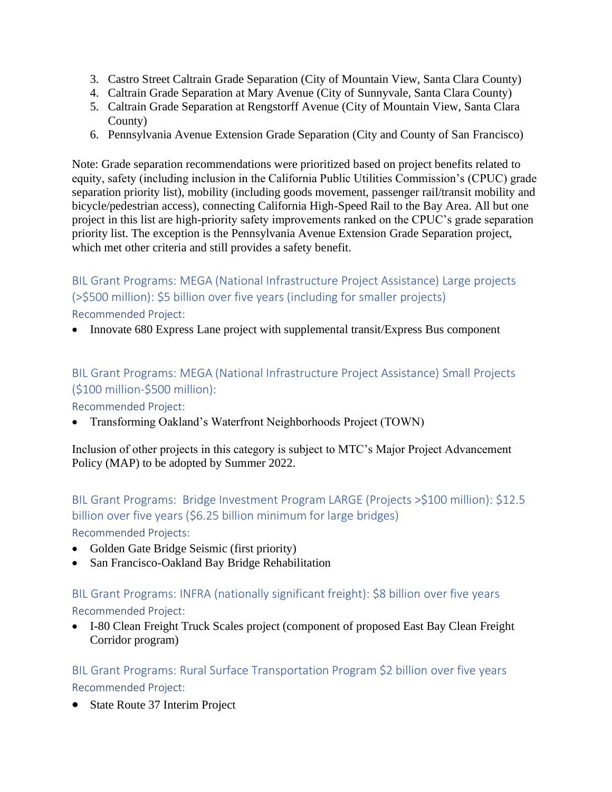- 3. Castro Street Caltrain Grade Separation (City of Mountain View, Santa Clara County)
- 4. Caltrain Grade Separation at Mary Avenue (City of Sunnyvale, Santa Clara County)
- 5. Caltrain Grade Separation at Rengstorff Avenue (City of Mountain View, Santa Clara County)
- 6. Pennsylvania Avenue Extension Grade Separation (City and County of San Francisco)

Note: Grade separation recommendations were prioritized based on project benefits related to equity, safety (including inclusion in the California Public Utilities Commission's (CPUC) grade separation priority list), mobility (including goods movement, passenger rail/transit mobility and bicycle/pedestrian access), connecting California High-Speed Rail to the Bay Area. All but one project in this list are high-priority safety improvements ranked on the CPUC's grade separation priority list. The exception is the Pennsylvania Avenue Extension Grade Separation project, which met other criteria and still provides a safety benefit.

### BIL Grant Programs: MEGA (National Infrastructure Project Assistance) Large projects (>\$500 million): \$5 billion over five years (including for smaller projects)

Recommended Project:

• Innovate 680 Express Lane project with supplemental transit/Express Bus component

### BIL Grant Programs: MEGA (National Infrastructure Project Assistance) Small Projects (\$100 million-\$500 million):

Recommended Project:

• Transforming Oakland's Waterfront Neighborhoods Project (TOWN)

Inclusion of other projects in this category is subject to MTC's Major Project Advancement Policy (MAP) to be adopted by Summer 2022.

### BIL Grant Programs: Bridge Investment Program LARGE (Projects >\$100 million): \$12.5 billion over five years (\$6.25 billion minimum for large bridges)

Recommended Projects:

- Golden Gate Bridge Seismic (first priority)
- San Francisco-Oakland Bay Bridge Rehabilitation

# BIL Grant Programs: INFRA (nationally significant freight): \$8 billion over five years

Recommended Project:

• I-80 Clean Freight Truck Scales project (component of proposed East Bay Clean Freight Corridor program)

BIL Grant Programs: Rural Surface Transportation Program \$2 billion over five years Recommended Project:

• State Route 37 Interim Project